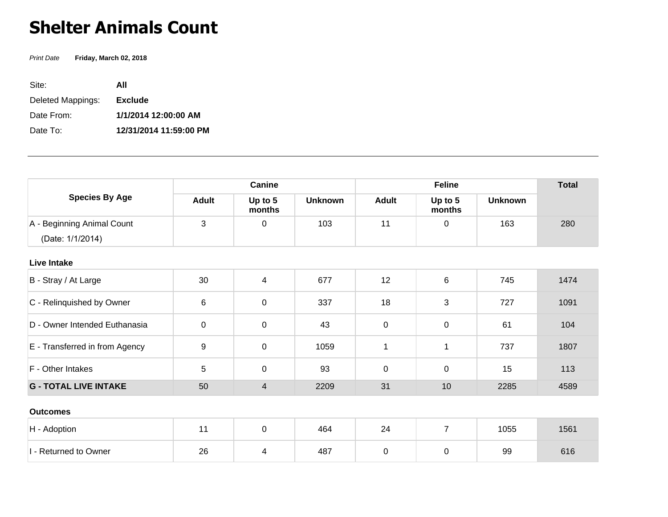## **Shelter Animals Count**

Print Date **Friday, March 02, 2018**

| Site:             | ΑII                    |
|-------------------|------------------------|
| Deleted Mappings: | <b>Exclude</b>         |
| Date From:        | 1/1/2014 12:00:00 AM   |
| Date To:          | 12/31/2014 11:59:00 PM |

| <b>Species By Age</b>          | Canine       |                   |                | <b>Feline</b> |                   |                | <b>Total</b> |
|--------------------------------|--------------|-------------------|----------------|---------------|-------------------|----------------|--------------|
|                                | <b>Adult</b> | Up to 5<br>months | <b>Unknown</b> | <b>Adult</b>  | Up to 5<br>months | <b>Unknown</b> |              |
| A - Beginning Animal Count     | 3            | 0                 | 103            | 11            | 0                 | 163            | 280          |
| (Date: 1/1/2014)               |              |                   |                |               |                   |                |              |
| <b>Live Intake</b>             |              |                   |                |               |                   |                |              |
| B - Stray / At Large           | 30           | 4                 | 677            | 12            | 6                 | 745            | 1474         |
| C - Relinquished by Owner      | 6            | $\mathbf 0$       | 337            | 18            | 3                 | 727            | 1091         |
| D - Owner Intended Euthanasia  | $\pmb{0}$    | 0                 | 43             | $\mathbf 0$   | 0                 | 61             | 104          |
| E - Transferred in from Agency | 9            | 0                 | 1059           | 1             | 1                 | 737            | 1807         |
| F - Other Intakes              | 5            | 0                 | 93             | $\mathbf 0$   | $\mathbf 0$       | 15             | 113          |
| <b>G - TOTAL LIVE INTAKE</b>   | 50           | $\overline{4}$    | 2209           | 31            | 10                | 2285           | 4589         |
| <b>Outcomes</b>                |              |                   |                |               |                   |                |              |
| H - Adoption                   | 11           | 0                 | 464            | 24            | $\overline{7}$    | 1055           | 1561         |
| I - Returned to Owner          | 26           | 4                 | 487            | $\mathbf 0$   | 0                 | 99             | 616          |